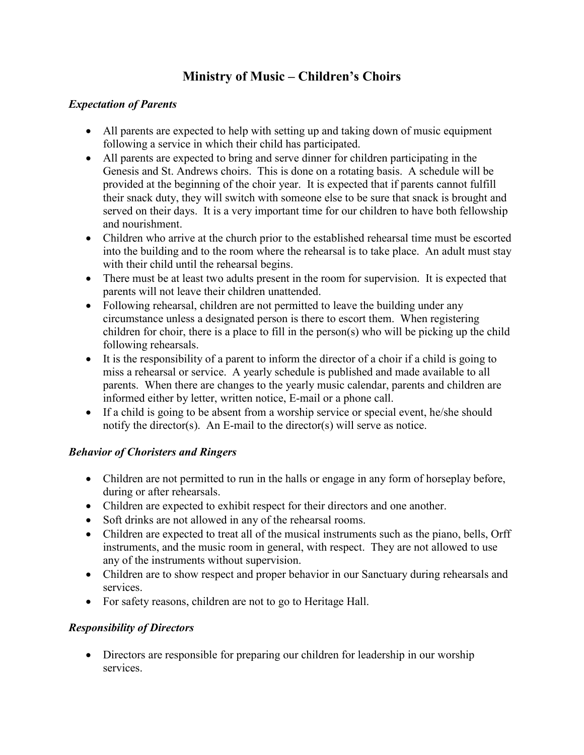# **Ministry of Music – Children's Choirs**

### *Expectation of Parents*

- All parents are expected to help with setting up and taking down of music equipment following a service in which their child has participated.
- All parents are expected to bring and serve dinner for children participating in the Genesis and St. Andrews choirs. This is done on a rotating basis. A schedule will be provided at the beginning of the choir year. It is expected that if parents cannot fulfill their snack duty, they will switch with someone else to be sure that snack is brought and served on their days. It is a very important time for our children to have both fellowship and nourishment.
- Children who arrive at the church prior to the established rehearsal time must be escorted into the building and to the room where the rehearsal is to take place. An adult must stay with their child until the rehearsal begins.
- There must be at least two adults present in the room for supervision. It is expected that parents will not leave their children unattended.
- Following rehearsal, children are not permitted to leave the building under any circumstance unless a designated person is there to escort them. When registering children for choir, there is a place to fill in the person(s) who will be picking up the child following rehearsals.
- It is the responsibility of a parent to inform the director of a choir if a child is going to miss a rehearsal or service. A yearly schedule is published and made available to all parents. When there are changes to the yearly music calendar, parents and children are informed either by letter, written notice, E-mail or a phone call.
- If a child is going to be absent from a worship service or special event, he/she should notify the director(s). An E-mail to the director(s) will serve as notice.

# *Behavior of Choristers and Ringers*

- Children are not permitted to run in the halls or engage in any form of horseplay before, during or after rehearsals.
- Children are expected to exhibit respect for their directors and one another.
- Soft drinks are not allowed in any of the rehearsal rooms.
- Children are expected to treat all of the musical instruments such as the piano, bells, Orff instruments, and the music room in general, with respect. They are not allowed to use any of the instruments without supervision.
- Children are to show respect and proper behavior in our Sanctuary during rehearsals and services.
- For safety reasons, children are not to go to Heritage Hall.

# *Responsibility of Directors*

• Directors are responsible for preparing our children for leadership in our worship services.